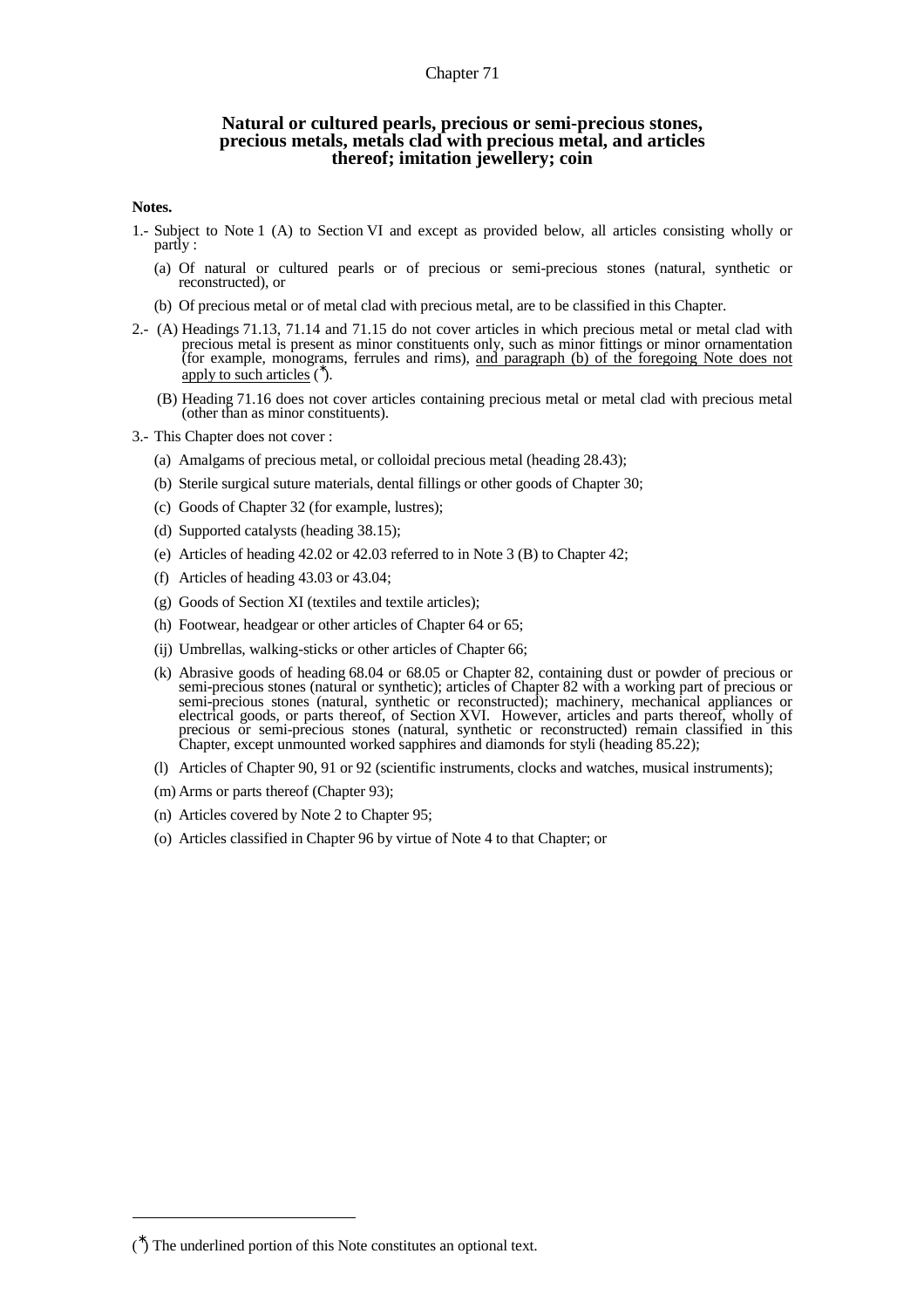## Chapter 71

## **Natural or cultured pearls, precious or semi-precious stones, precious metals, metals clad with precious metal, and articles thereof; imitation jewellery; coin**

## **Notes.**

- 1.- Subject to Note 1 (A) to Section VI and except as provided below, all articles consisting wholly or partly :
	- (a) Of natural or cultured pearls or of precious or semi-precious stones (natural, synthetic or reconstructed), or
	- (b) Of precious metal or of metal clad with precious metal, are to be classified in this Chapter.
- 2.- (A) Headings 71.13, 71.14 and 71.15 do not cover articles in which precious metal or metal clad with precious metal is present as minor constituents only, such as minor fittings or minor ornamentation (for example, monograms, ferrules and rims), and paragraph (b) of the foregoing Note does not apply to such articles  $(\overrightarrow{ } )$ .
	- (B) Heading 71.16 does not cover articles containing precious metal or metal clad with precious metal (other than as minor constituents).
- 3.- This Chapter does not cover :
	- (a) Amalgams of precious metal, or colloidal precious metal (heading 28.43);
	- (b) Sterile surgical suture materials, dental fillings or other goods of Chapter 30;
	- (c) Goods of Chapter 32 (for example, lustres);
	- (d) Supported catalysts (heading 38.15);
	- (e) Articles of heading 42.02 or 42.03 referred to in Note 3 (B) to Chapter 42;
	- (f) Articles of heading 43.03 or 43.04;
	- (g) Goods of Section XI (textiles and textile articles);
	- (h) Footwear, headgear or other articles of Chapter 64 or 65;
	- (ij) Umbrellas, walking-sticks or other articles of Chapter 66;
	- (k) Abrasive goods of heading 68.04 or 68.05 or Chapter 82, containing dust or powder of precious or semi-precious stones (natural or synthetic); articles of Chapter 82 with a working part of precious or semi-precious stones (natural, synthetic or reconstructed); machinery, mechanical appliances or electrical goods, or parts thereof, of Section XVI. However, articles and parts thereof, wholly of precious or semi-precious stones (natural, synthetic or reconstructed) remain classified in this Chapter, except unmounted worked sapphires and diamonds for styli (heading 85.22);
	- (l) Articles of Chapter 90, 91 or 92 (scientific instruments, clocks and watches, musical instruments);
	- (m) Arms or parts thereof (Chapter 93);
	- (n) Articles covered by Note 2 to Chapter 95;
	- (o) Articles classified in Chapter 96 by virtue of Note 4 to that Chapter; or

 $\overline{a}$ 

<sup>(</sup> ∗ ) The underlined portion of this Note constitutes an optional text.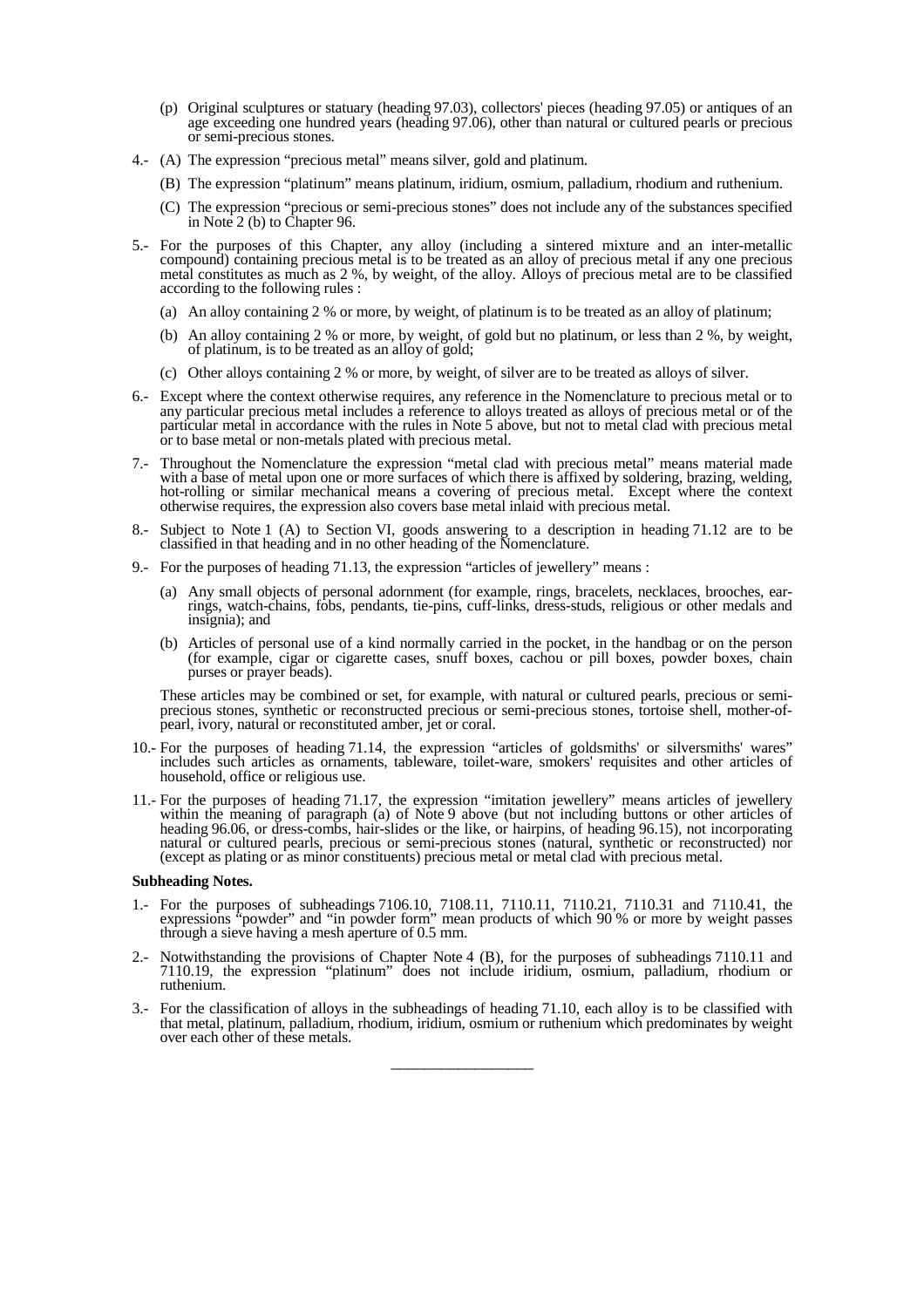- (p) Original sculptures or statuary (heading 97.03), collectors' pieces (heading 97.05) or antiques of an age exceeding one hundred years (heading 97.06), other than natural or cultured pearls or precious or semi-precious stones.
- 4.- (A) The expression "precious metal" means silver, gold and platinum.
	- (B) The expression "platinum" means platinum, iridium, osmium, palladium, rhodium and ruthenium.
	- (C) The expression "precious or semi-precious stones" does not include any of the substances specified in Note 2 (b) to Chapter 96.
- 5.- For the purposes of this Chapter, any alloy (including a sintered mixture and an inter-metallic compound) containing precious metal is to be treated as an alloy of precious metal if any one precious metal constitutes as much as 2 %, by weight, of the alloy. Alloys of precious metal are to be classified according to the following rules :
	- (a) An alloy containing 2 % or more, by weight, of platinum is to be treated as an alloy of platinum;
	- (b) An alloy containing 2 % or more, by weight, of gold but no platinum, or less than 2 %, by weight, of platinum, is to be treated as an alloy of gold;
	- (c) Other alloys containing 2 % or more, by weight, of silver are to be treated as alloys of silver.
- 6.- Except where the context otherwise requires, any reference in the Nomenclature to precious metal or to any particular precious metal includes a reference to alloys treated as alloys of precious metal or of the particular metal in accordance with the rules in Note 5 above, but not to metal clad with precious metal or to base metal or non-metals plated with precious metal.
- 7.- Throughout the Nomenclature the expression "metal clad with precious metal" means material made with a base of metal upon one or more surfaces of which there is affixed by soldering, brazing, welding, hot-rolling or similar mechanical means a covering of precious metal. Except where the context otherwise requires, the expression also covers base metal inlaid with precious metal.
- 8.- Subject to Note 1 (A) to Section VI, goods answering to a description in heading 71.12 are to be classified in that heading and in no other heading of the Nomenclature.
- 9.- For the purposes of heading 71.13, the expression "articles of jewellery" means :
	- (a) Any small objects of personal adornment (for example, rings, bracelets, necklaces, brooches, earrings, watch-chains, fobs, pendants, tie-pins, cuff-links, dress-studs, religious or other medals and insignia); and
	- (b) Articles of personal use of a kind normally carried in the pocket, in the handbag or on the person (for example, cigar or cigarette cases, snuff boxes, cachou or pill boxes, powder boxes, chain purses or prayer beads).

 These articles may be combined or set, for example, with natural or cultured pearls, precious or semiprecious stones, synthetic or reconstructed precious or semi-precious stones, tortoise shell, mother-ofpearl, ivory, natural or reconstituted amber, jet or coral.

- 10.- For the purposes of heading 71.14, the expression "articles of goldsmiths' or silversmiths' wares" includes such articles as ornaments, tableware, toilet-ware, smokers' requisites and other articles of household, office or religious use.
- 11.- For the purposes of heading 71.17, the expression "imitation jewellery" means articles of jewellery within the meaning of paragraph (a) of Note 9 above (but not including buttons or other articles of heading 96.06, or dress-combs, hair-slides or the like, or hairpins, of heading 96.15), not incorporating natural or cultured pearls, precious or semi-precious stones (natural, synthetic or reconstructed) nor (except as plating or as minor constituents) precious metal or metal clad with precious metal.

## **Subheading Notes.**

- 1.- For the purposes of subheadings 7106.10, 7108.11, 7110.11, 7110.21, 7110.31 and 7110.41, the expressions "powder" and "in powder form" mean products of which 90 % or more by weight passes through a sieve having a mesh aperture of 0.5 mm.
- 2.- Notwithstanding the provisions of Chapter Note 4 (B), for the purposes of subheadings 7110.11 and 7110.19, the expression "platinum" does not include iridium, osmium, palladium, rhodium or ruthenium.
- 3.- For the classification of alloys in the subheadings of heading 71.10, each alloy is to be classified with that metal, platinum, palladium, rhodium, iridium, osmium or ruthenium which predominates by weight over each other of these metals.

\_\_\_\_\_\_\_\_\_\_\_\_\_\_\_\_\_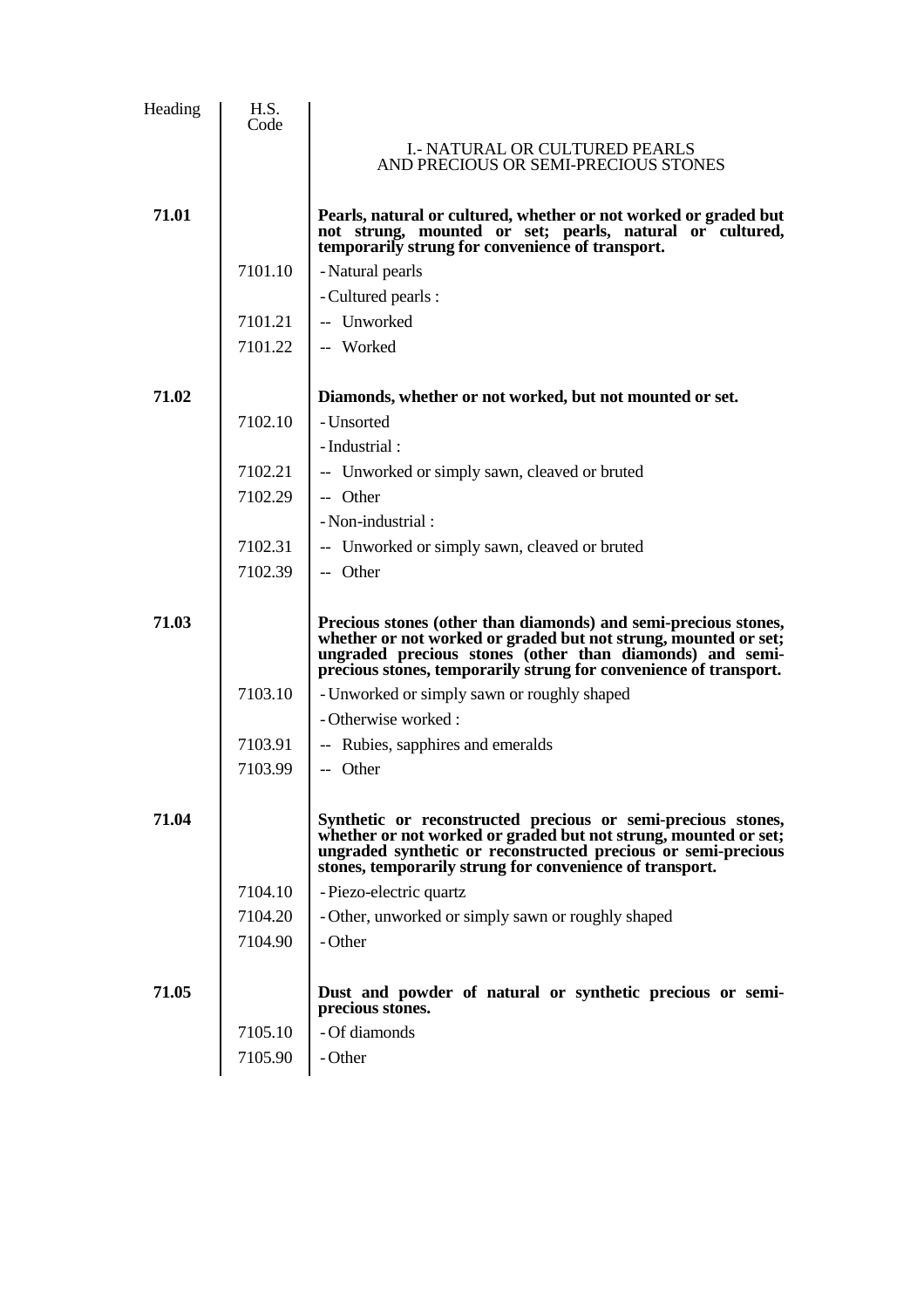| Heading | H.S.<br>Code |                                                                                                                                                                                                                                                                     |
|---------|--------------|---------------------------------------------------------------------------------------------------------------------------------------------------------------------------------------------------------------------------------------------------------------------|
|         |              | <b>I.- NATURAL OR CULTURED PEARLS</b><br>AND PRECIOUS OR SEMI-PRECIOUS STONES                                                                                                                                                                                       |
| 71.01   |              | Pearls, natural or cultured, whether or not worked or graded but<br>not strung, mounted or set; pearls, natural or cultured,<br>temporarily strung for convenience of transport.                                                                                    |
|         | 7101.10      | - Natural pearls                                                                                                                                                                                                                                                    |
|         |              | - Cultured pearls :                                                                                                                                                                                                                                                 |
|         | 7101.21      | -- Unworked                                                                                                                                                                                                                                                         |
|         | 7101.22      | -- Worked                                                                                                                                                                                                                                                           |
| 71.02   |              | Diamonds, whether or not worked, but not mounted or set.                                                                                                                                                                                                            |
|         | 7102.10      | - Unsorted                                                                                                                                                                                                                                                          |
|         |              | - Industrial:                                                                                                                                                                                                                                                       |
|         | 7102.21      | -- Unworked or simply sawn, cleaved or bruted                                                                                                                                                                                                                       |
|         | 7102.29      | -- Other                                                                                                                                                                                                                                                            |
|         |              | - Non-industrial :                                                                                                                                                                                                                                                  |
|         | 7102.31      | -- Unworked or simply sawn, cleaved or bruted                                                                                                                                                                                                                       |
|         | 7102.39      | -- Other                                                                                                                                                                                                                                                            |
| 71.03   |              | Precious stones (other than diamonds) and semi-precious stones,<br>whether or not worked or graded but not strung, mounted or set;<br>ungraded precious stones (other than diamonds) and semi-<br>precious stones, temporarily strung for convenience of transport. |
|         | 7103.10      | - Unworked or simply sawn or roughly shaped                                                                                                                                                                                                                         |
|         |              | - Otherwise worked:                                                                                                                                                                                                                                                 |
|         | 7103.91      | -- Rubies, sapphires and emeralds                                                                                                                                                                                                                                   |
|         | 7103.99      | -- Other                                                                                                                                                                                                                                                            |
| 71.04   |              | Synthetic or reconstructed precious or semi-precious stones,<br>whether or not worked or graded but not strung, mounted or set;<br>ungraded synthetic or reconstructed precious or semi-precious<br>stones, temporarily strung for convenience of transport.        |
|         | 7104.10      | - Piezo-electric quartz                                                                                                                                                                                                                                             |
|         | 7104.20      | - Other, unworked or simply sawn or roughly shaped                                                                                                                                                                                                                  |
|         | 7104.90      | - Other                                                                                                                                                                                                                                                             |
| 71.05   |              | Dust and powder of natural or synthetic precious or semi-<br>precious stones.                                                                                                                                                                                       |
|         | 7105.10      | - Of diamonds                                                                                                                                                                                                                                                       |
|         | 7105.90      | - Other                                                                                                                                                                                                                                                             |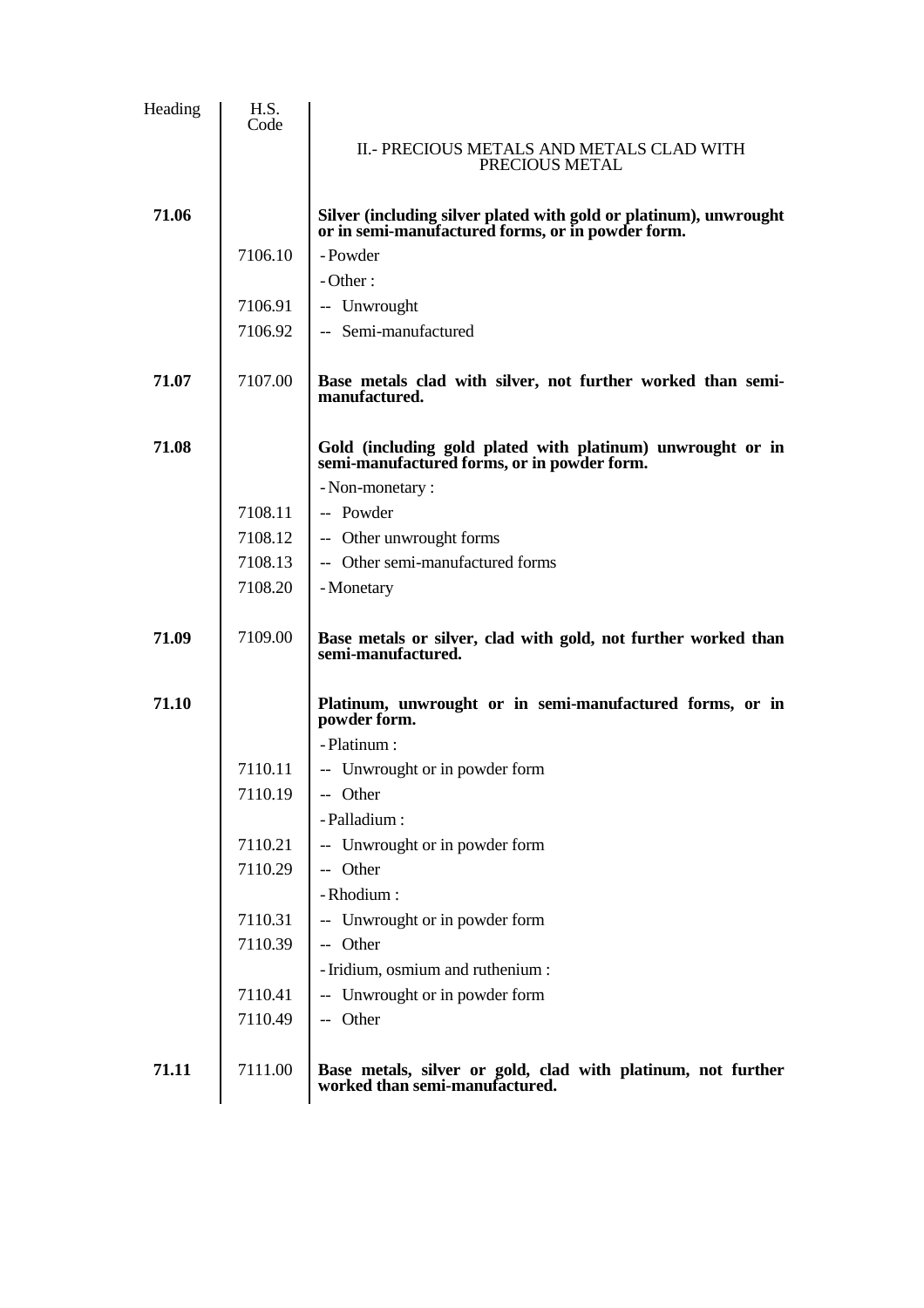| Heading | H.S.<br>Code |                                                                                                                        |
|---------|--------------|------------------------------------------------------------------------------------------------------------------------|
|         |              | II. - PRECIOUS METALS AND METALS CLAD WITH<br>PRECIOUS METAL                                                           |
| 71.06   |              | Silver (including silver plated with gold or platinum), unwrought<br>or in semi-manufactured forms, or in powder form. |
|         | 7106.10      | - Powder                                                                                                               |
|         |              | $-Other:$                                                                                                              |
|         | 7106.91      | -- Unwrought                                                                                                           |
|         | 7106.92      | -- Semi-manufactured                                                                                                   |
| 71.07   | 7107.00      | Base metals clad with silver, not further worked than semi-<br>manufactured.                                           |
| 71.08   |              | Gold (including gold plated with platinum) unwrought or in<br>semi-manufactured forms, or in powder form.              |
|         |              | - Non-monetary :                                                                                                       |
|         | 7108.11      | -- Powder                                                                                                              |
|         | 7108.12      | -- Other unwrought forms                                                                                               |
|         | 7108.13      | -- Other semi-manufactured forms                                                                                       |
|         | 7108.20      | - Monetary                                                                                                             |
| 71.09   | 7109.00      | Base metals or silver, clad with gold, not further worked than<br>semi-manufactured.                                   |
| 71.10   |              | Platinum, unwrought or in semi-manufactured forms, or in<br>powder form.                                               |
|         |              | - Platinum :                                                                                                           |
|         | 7110.11      | -- Unwrought or in powder form                                                                                         |
|         | 7110.19      | -- Other                                                                                                               |
|         |              | - Palladium :                                                                                                          |
|         | 7110.21      | -- Unwrought or in powder form                                                                                         |
|         | 7110.29      | -- Other                                                                                                               |
|         |              | - Rhodium:                                                                                                             |
|         | 7110.31      | -- Unwrought or in powder form                                                                                         |
|         | 7110.39      | -- Other                                                                                                               |
|         |              | - Iridium, osmium and ruthenium:                                                                                       |
|         | 7110.41      | -- Unwrought or in powder form                                                                                         |
|         | 7110.49      | -- Other                                                                                                               |
| 71.11   | 7111.00      | Base metals, silver or gold, clad with platinum, not further worked than semi-manufactured.                            |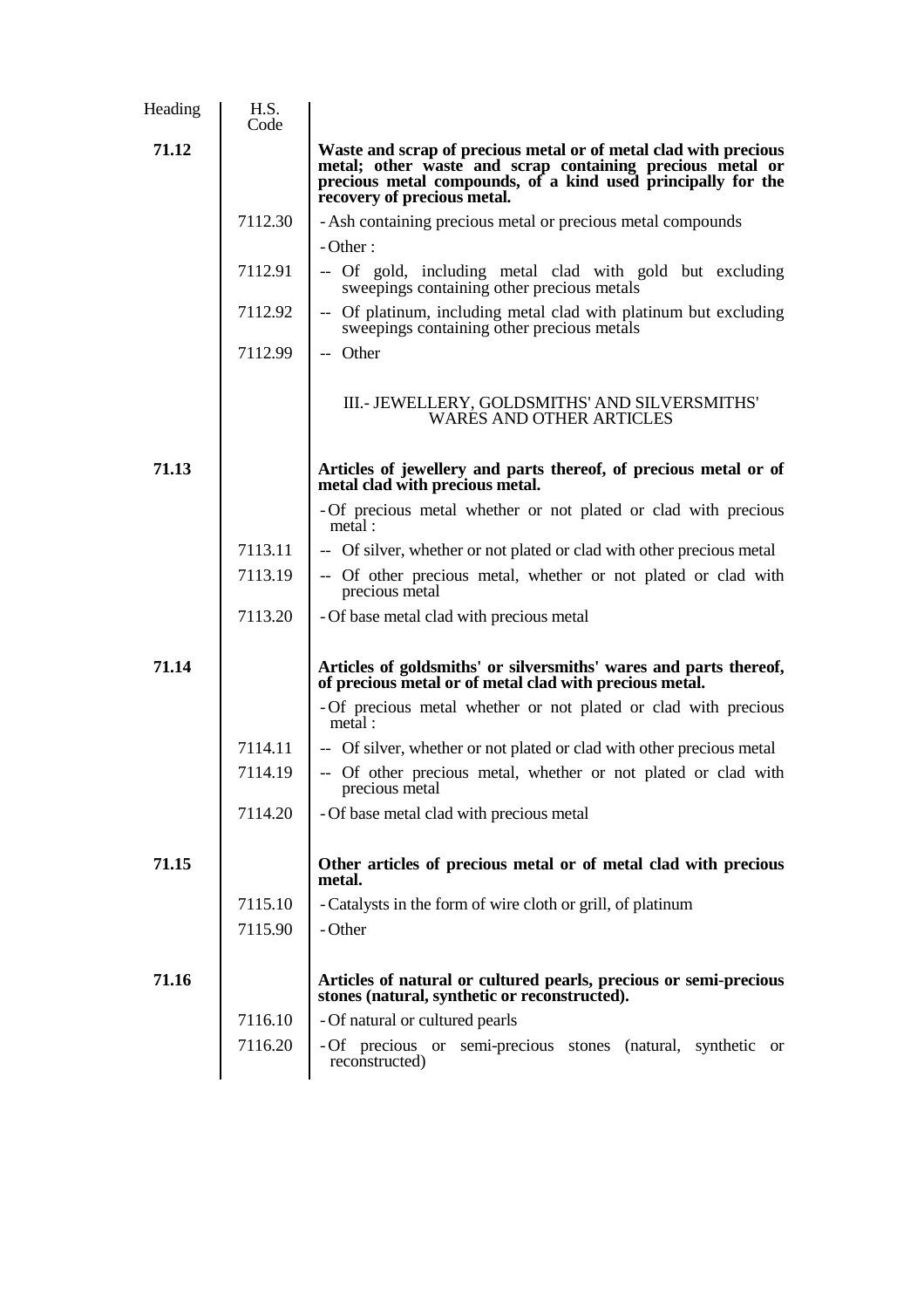| Heading | H.S.<br>Code |                                                                                                                                                                                                                              |
|---------|--------------|------------------------------------------------------------------------------------------------------------------------------------------------------------------------------------------------------------------------------|
| 71.12   |              | Waste and scrap of precious metal or of metal clad with precious<br>metal; other waste and scrap containing precious metal or<br>precious metal compounds, of a kind used principally for the<br>recovery of precious metal. |
|         | 7112.30      | - Ash containing precious metal or precious metal compounds                                                                                                                                                                  |
|         |              | $-Other:$                                                                                                                                                                                                                    |
|         | 7112.91      | -- Of gold, including metal clad with gold but excluding<br>sweepings containing other precious metals                                                                                                                       |
|         | 7112.92      | -- Of platinum, including metal clad with platinum but excluding<br>sweepings containing other precious metals                                                                                                               |
|         | 7112.99      | -- Other                                                                                                                                                                                                                     |
|         |              | III. - JEWELLERY, GOLDSMITHS' AND SILVERSMITHS'<br><b>WARES AND OTHER ARTICLES</b>                                                                                                                                           |
| 71.13   |              | Articles of jewellery and parts thereof, of precious metal or of<br>metal clad with precious metal.                                                                                                                          |
|         |              | - Of precious metal whether or not plated or clad with precious<br>metal:                                                                                                                                                    |
|         | 7113.11      | -- Of silver, whether or not plated or clad with other precious metal                                                                                                                                                        |
|         | 7113.19      | -- Of other precious metal, whether or not plated or clad with<br>precious metal                                                                                                                                             |
|         | 7113.20      | - Of base metal clad with precious metal                                                                                                                                                                                     |
| 71.14   |              | Articles of goldsmiths' or silversmiths' wares and parts thereof,<br>of precious metal or of metal clad with precious metal.                                                                                                 |
|         |              | - Of precious metal whether or not plated or clad with precious<br>metal:                                                                                                                                                    |
|         | 7114.11      | -- Of silver, whether or not plated or clad with other precious metal                                                                                                                                                        |
|         | 7114.19      | -- Of other precious metal, whether or not plated or clad with<br>precious metal                                                                                                                                             |
|         | 7114.20      | - Of base metal clad with precious metal                                                                                                                                                                                     |
| 71.15   |              | Other articles of precious metal or of metal clad with precious<br>metal.                                                                                                                                                    |
|         | 7115.10      | - Catalysts in the form of wire cloth or grill, of platinum                                                                                                                                                                  |
|         | 7115.90      | - Other                                                                                                                                                                                                                      |
| 71.16   |              | Articles of natural or cultured pearls, precious or semi-precious<br>stones (natural, synthetic or reconstructed).                                                                                                           |
|         | 7116.10      | - Of natural or cultured pearls                                                                                                                                                                                              |
|         | 7116.20      | - Of precious or semi-precious stones (natural, synthetic<br>or<br>reconstructed)                                                                                                                                            |
|         |              |                                                                                                                                                                                                                              |